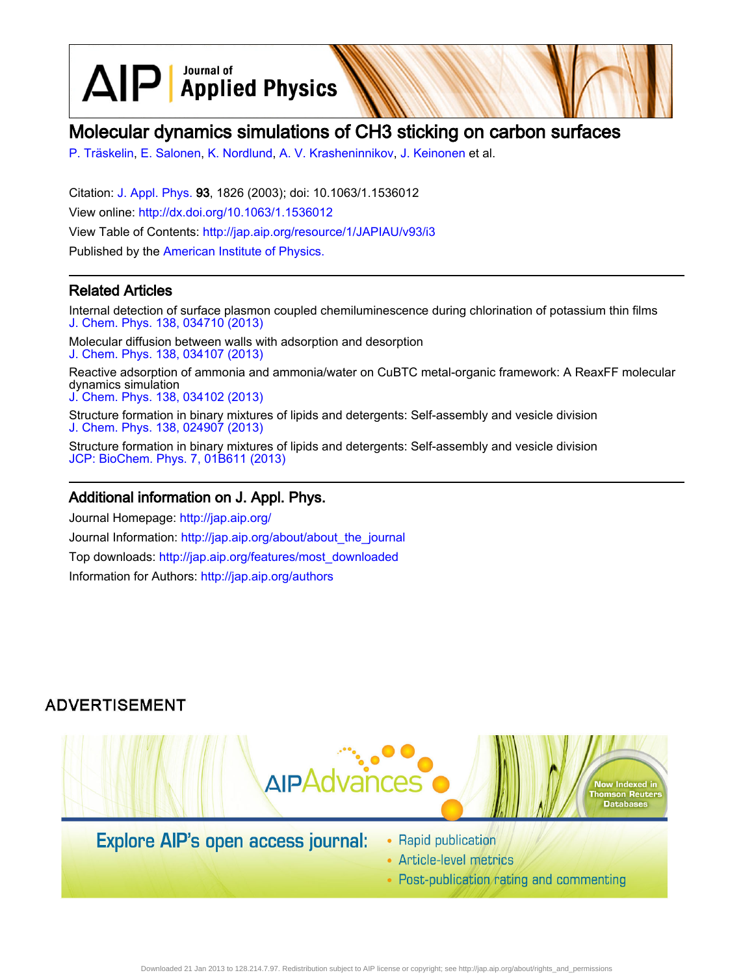$\text{AlP}$  Applied Physics

# Molecular dynamics simulations of CH3 sticking on carbon surfaces

[P. Träskelin,](http://jap.aip.org/search?sortby=newestdate&q=&searchzone=2&searchtype=searchin&faceted=faceted&key=AIP_ALL&possible1=P. Tr�skelin&possible1zone=author&alias=&displayid=AIP&ver=pdfcov) [E. Salonen](http://jap.aip.org/search?sortby=newestdate&q=&searchzone=2&searchtype=searchin&faceted=faceted&key=AIP_ALL&possible1=E. Salonen&possible1zone=author&alias=&displayid=AIP&ver=pdfcov), [K. Nordlund](http://jap.aip.org/search?sortby=newestdate&q=&searchzone=2&searchtype=searchin&faceted=faceted&key=AIP_ALL&possible1=K. Nordlund&possible1zone=author&alias=&displayid=AIP&ver=pdfcov), [A. V. Krasheninnikov,](http://jap.aip.org/search?sortby=newestdate&q=&searchzone=2&searchtype=searchin&faceted=faceted&key=AIP_ALL&possible1=A. V. Krasheninnikov&possible1zone=author&alias=&displayid=AIP&ver=pdfcov) [J. Keinonen](http://jap.aip.org/search?sortby=newestdate&q=&searchzone=2&searchtype=searchin&faceted=faceted&key=AIP_ALL&possible1=J. Keinonen&possible1zone=author&alias=&displayid=AIP&ver=pdfcov) et al.

Citation: [J. Appl. Phys.](http://jap.aip.org/?ver=pdfcov) 93, 1826 (2003); doi: 10.1063/1.1536012 View online: [http://dx.doi.org/10.1063/1.1536012](http://link.aip.org/link/doi/10.1063/1.1536012?ver=pdfcov) View Table of Contents: [http://jap.aip.org/resource/1/JAPIAU/v93/i3](http://jap.aip.org/resource/1/JAPIAU/v93/i3?ver=pdfcov) Published by the [American Institute of Physics.](http://www.aip.org/?ver=pdfcov)

### Related Articles

Internal detection of surface plasmon coupled chemiluminescence during chlorination of potassium thin films [J. Chem. Phys. 138, 034710 \(2013\)](http://link.aip.org/link/doi/10.1063/1.4776156?ver=pdfcov)

Molecular diffusion between walls with adsorption and desorption [J. Chem. Phys. 138, 034107 \(2013\)](http://link.aip.org/link/doi/10.1063/1.4775742?ver=pdfcov)

Reactive adsorption of ammonia and ammonia/water on CuBTC metal-organic framework: A ReaxFF molecular dynamics simulation

[J. Chem. Phys. 138, 034102 \(2013\)](http://link.aip.org/link/doi/10.1063/1.4774332?ver=pdfcov)

Structure formation in binary mixtures of lipids and detergents: Self-assembly and vesicle division [J. Chem. Phys. 138, 024907 \(2013\)](http://link.aip.org/link/doi/10.1063/1.4774324?ver=pdfcov)

Structure formation in binary mixtures of lipids and detergents: Self-assembly and vesicle division [JCP: BioChem. Phys. 7, 01B611 \(2013\)](http://link.aip.org/link/doi/10.1063/1.4774324?ver=pdfcov)

### Additional information on J. Appl. Phys.

Journal Homepage: [http://jap.aip.org/](http://jap.aip.org/?ver=pdfcov) Journal Information: [http://jap.aip.org/about/about\\_the\\_journal](http://jap.aip.org/about/about_the_journal?ver=pdfcov) Top downloads: [http://jap.aip.org/features/most\\_downloaded](http://jap.aip.org/features/most_downloaded?ver=pdfcov) Information for Authors: [http://jap.aip.org/authors](http://jap.aip.org/authors?ver=pdfcov)

## **ADVERTISEMENT**



## **Explore AIP's open access journal:**

- Rapid publication
- Article-level metrics
- Post-publication rating and commenting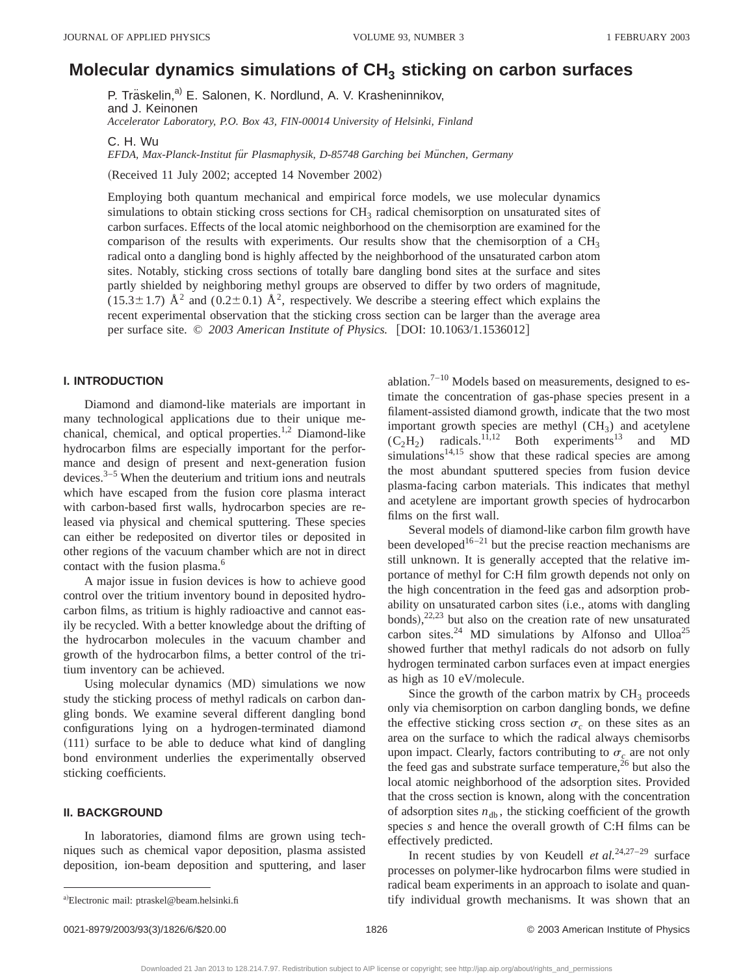## **Molecular dynamics simulations of CH<sub>3</sub> sticking on carbon surfaces**

P. Träskelin,<sup>a)</sup> E. Salonen, K. Nordlund, A. V. Krasheninnikov, and J. Keinonen *Accelerator Laboratory, P.O. Box 43, FIN-00014 University of Helsinki, Finland*

C. H. Wu

EFDA, Max-Planck-Institut für Plasmaphysik, D-85748 Garching bei München, Germany

(Received 11 July 2002; accepted 14 November 2002)

Employing both quantum mechanical and empirical force models, we use molecular dynamics simulations to obtain sticking cross sections for  $CH<sub>3</sub>$  radical chemisorption on unsaturated sites of carbon surfaces. Effects of the local atomic neighborhood on the chemisorption are examined for the comparison of the results with experiments. Our results show that the chemisorption of a  $CH<sub>3</sub>$ radical onto a dangling bond is highly affected by the neighborhood of the unsaturated carbon atom sites. Notably, sticking cross sections of totally bare dangling bond sites at the surface and sites partly shielded by neighboring methyl groups are observed to differ by two orders of magnitude,  $(15.3\pm1.7)$  Å<sup>2</sup> and  $(0.2\pm0.1)$  Å<sup>2</sup>, respectively. We describe a steering effect which explains the recent experimental observation that the sticking cross section can be larger than the average area per surface site. © 2003 American Institute of Physics. [DOI: 10.1063/1.1536012]

#### **I. INTRODUCTION**

Diamond and diamond-like materials are important in many technological applications due to their unique mechanical, chemical, and optical properties.<sup>1,2</sup> Diamond-like hydrocarbon films are especially important for the performance and design of present and next-generation fusion devices.3–5 When the deuterium and tritium ions and neutrals which have escaped from the fusion core plasma interact with carbon-based first walls, hydrocarbon species are released via physical and chemical sputtering. These species can either be redeposited on divertor tiles or deposited in other regions of the vacuum chamber which are not in direct contact with the fusion plasma.<sup>6</sup>

A major issue in fusion devices is how to achieve good control over the tritium inventory bound in deposited hydrocarbon films, as tritium is highly radioactive and cannot easily be recycled. With a better knowledge about the drifting of the hydrocarbon molecules in the vacuum chamber and growth of the hydrocarbon films, a better control of the tritium inventory can be achieved.

Using molecular dynamics (MD) simulations we now study the sticking process of methyl radicals on carbon dangling bonds. We examine several different dangling bond configurations lying on a hydrogen-terminated diamond  $(111)$  surface to be able to deduce what kind of dangling bond environment underlies the experimentally observed sticking coefficients.

#### **II. BACKGROUND**

In laboratories, diamond films are grown using techniques such as chemical vapor deposition, plasma assisted deposition, ion-beam deposition and sputtering, and laser ablation.<sup>7–10</sup> Models based on measurements, designed to estimate the concentration of gas-phase species present in a filament-assisted diamond growth, indicate that the two most important growth species are methyl  $(CH<sub>3</sub>)$  and acetylene  $(C_2H_2)$  radicals.<sup>11,12</sup> Both experiments<sup>13</sup> and MD  $\sin$ ulations<sup>14,15</sup> show that these radical species are among the most abundant sputtered species from fusion device plasma-facing carbon materials. This indicates that methyl and acetylene are important growth species of hydrocarbon films on the first wall.

Several models of diamond-like carbon film growth have been developed<sup>16–21</sup> but the precise reaction mechanisms are still unknown. It is generally accepted that the relative importance of methyl for C:H film growth depends not only on the high concentration in the feed gas and adsorption probability on unsaturated carbon sites (i.e., atoms with dangling bonds), $^{22,23}$  but also on the creation rate of new unsaturated carbon sites. $^{24}$  MD simulations by Alfonso and Ulloa<sup>25</sup> showed further that methyl radicals do not adsorb on fully hydrogen terminated carbon surfaces even at impact energies as high as 10 eV/molecule.

Since the growth of the carbon matrix by  $CH<sub>3</sub>$  proceeds only via chemisorption on carbon dangling bonds, we define the effective sticking cross section  $\sigma_c$  on these sites as an area on the surface to which the radical always chemisorbs upon impact. Clearly, factors contributing to  $\sigma_c$  are not only the feed gas and substrate surface temperature, $^{26}$  but also the local atomic neighborhood of the adsorption sites. Provided that the cross section is known, along with the concentration of adsorption sites  $n_{db}$ , the sticking coefficient of the growth species *s* and hence the overall growth of C:H films can be effectively predicted.

In recent studies by von Keudell *et al.*24,27–29 surface processes on polymer-like hydrocarbon films were studied in radical beam experiments in an approach to isolate and quantify individual growth mechanisms. It was shown that an

a)Electronic mail: ptraskel@beam.helsinki.fi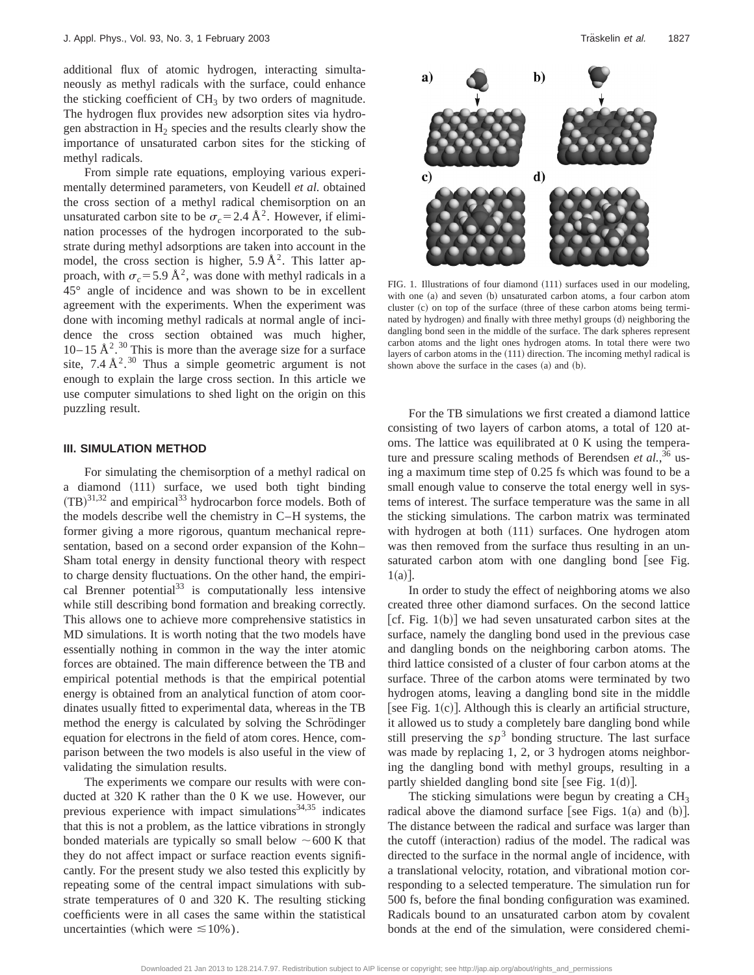additional flux of atomic hydrogen, interacting simultaneously as methyl radicals with the surface, could enhance the sticking coefficient of  $CH<sub>3</sub>$  by two orders of magnitude. The hydrogen flux provides new adsorption sites via hydrogen abstraction in  $H_2$  species and the results clearly show the importance of unsaturated carbon sites for the sticking of methyl radicals.

From simple rate equations, employing various experimentally determined parameters, von Keudell *et al.* obtained the cross section of a methyl radical chemisorption on an unsaturated carbon site to be  $\sigma_c = 2.4 \text{ Å}^2$ . However, if elimination processes of the hydrogen incorporated to the substrate during methyl adsorptions are taken into account in the model, the cross section is higher,  $5.9 \text{ Å}^2$ . This latter approach, with  $\sigma_c$  = 5.9 Å<sup>2</sup>, was done with methyl radicals in a 45° angle of incidence and was shown to be in excellent agreement with the experiments. When the experiment was done with incoming methyl radicals at normal angle of incidence the cross section obtained was much higher, 10–15  $\AA^2$ .<sup>30</sup> This is more than the average size for a surface site, 7.4  $\AA$ <sup>2</sup>.<sup>30</sup> Thus a simple geometric argument is not enough to explain the large cross section. In this article we use computer simulations to shed light on the origin on this puzzling result.

#### **III. SIMULATION METHOD**

For simulating the chemisorption of a methyl radical on a diamond (111) surface, we used both tight binding  $(TB)^{31,32}$  and empirical<sup>33</sup> hydrocarbon force models. Both of the models describe well the chemistry in C–H systems, the former giving a more rigorous, quantum mechanical representation, based on a second order expansion of the Kohn– Sham total energy in density functional theory with respect to charge density fluctuations. On the other hand, the empirical Brenner potential $^{33}$  is computationally less intensive while still describing bond formation and breaking correctly. This allows one to achieve more comprehensive statistics in MD simulations. It is worth noting that the two models have essentially nothing in common in the way the inter atomic forces are obtained. The main difference between the TB and empirical potential methods is that the empirical potential energy is obtained from an analytical function of atom coordinates usually fitted to experimental data, whereas in the TB method the energy is calculated by solving the Schrödinger equation for electrons in the field of atom cores. Hence, comparison between the two models is also useful in the view of validating the simulation results.

The experiments we compare our results with were conducted at 320 K rather than the 0 K we use. However, our previous experience with impact simulations $34,35$  indicates that this is not a problem, as the lattice vibrations in strongly bonded materials are typically so small below  $\sim$  600 K that they do not affect impact or surface reaction events significantly. For the present study we also tested this explicitly by repeating some of the central impact simulations with substrate temperatures of 0 and 320 K. The resulting sticking coefficients were in all cases the same within the statistical uncertainties (which were  $\leq 10\%$ ).



FIG. 1. Illustrations of four diamond  $(111)$  surfaces used in our modeling, with one (a) and seven (b) unsaturated carbon atoms, a four carbon atom cluster  $(c)$  on top of the surface (three of these carbon atoms being terminated by hydrogen) and finally with three methyl groups (d) neighboring the dangling bond seen in the middle of the surface. The dark spheres represent carbon atoms and the light ones hydrogen atoms. In total there were two layers of carbon atoms in the  $(111)$  direction. The incoming methyl radical is shown above the surface in the cases (a) and (b).

For the TB simulations we first created a diamond lattice consisting of two layers of carbon atoms, a total of 120 atoms. The lattice was equilibrated at 0 K using the temperature and pressure scaling methods of Berendsen *et al.*,<sup>36</sup> using a maximum time step of 0.25 fs which was found to be a small enough value to conserve the total energy well in systems of interest. The surface temperature was the same in all the sticking simulations. The carbon matrix was terminated with hydrogen at both  $(111)$  surfaces. One hydrogen atom was then removed from the surface thus resulting in an unsaturated carbon atom with one dangling bond [see Fig.  $1(a)$ ].

In order to study the effect of neighboring atoms we also created three other diamond surfaces. On the second lattice  $|cf. Fig. 1(b)|$  we had seven unsaturated carbon sites at the surface, namely the dangling bond used in the previous case and dangling bonds on the neighboring carbon atoms. The third lattice consisted of a cluster of four carbon atoms at the surface. Three of the carbon atoms were terminated by two hydrogen atoms, leaving a dangling bond site in the middle [see Fig.  $1(c)$ ]. Although this is clearly an artificial structure, it allowed us to study a completely bare dangling bond while still preserving the  $s p<sup>3</sup>$  bonding structure. The last surface was made by replacing 1, 2, or 3 hydrogen atoms neighboring the dangling bond with methyl groups, resulting in a partly shielded dangling bond site [see Fig.  $1(d)$ ].

The sticking simulations were begun by creating a  $CH<sub>3</sub>$ radical above the diamond surface [see Figs. 1(a) and  $(b)$ ]. The distance between the radical and surface was larger than the cutoff (interaction) radius of the model. The radical was directed to the surface in the normal angle of incidence, with a translational velocity, rotation, and vibrational motion corresponding to a selected temperature. The simulation run for 500 fs, before the final bonding configuration was examined. Radicals bound to an unsaturated carbon atom by covalent bonds at the end of the simulation, were considered chemi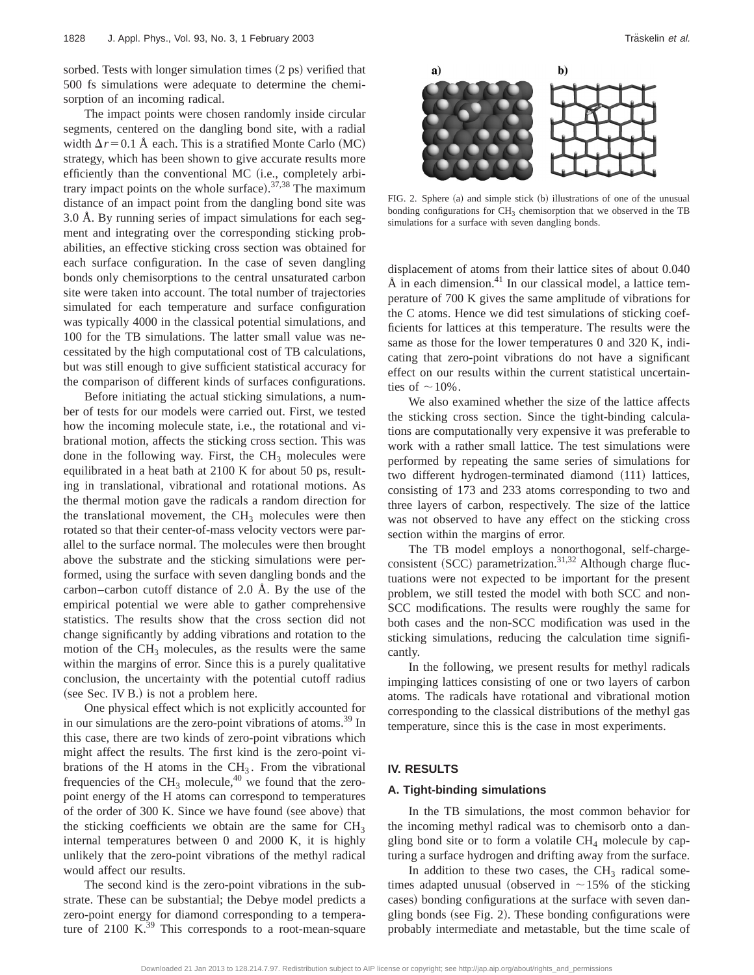sorbed. Tests with longer simulation times  $(2 \text{ ps})$  verified that 500 fs simulations were adequate to determine the chemisorption of an incoming radical.

The impact points were chosen randomly inside circular segments, centered on the dangling bond site, with a radial width  $\Delta r$ =0.1 Å each. This is a stratified Monte Carlo (MC) strategy, which has been shown to give accurate results more efficiently than the conventional MC (i.e., completely arbitrary impact points on the whole surface).  $37,38$  The maximum distance of an impact point from the dangling bond site was 3.0 Å. By running series of impact simulations for each segment and integrating over the corresponding sticking probabilities, an effective sticking cross section was obtained for each surface configuration. In the case of seven dangling bonds only chemisorptions to the central unsaturated carbon site were taken into account. The total number of trajectories simulated for each temperature and surface configuration was typically 4000 in the classical potential simulations, and 100 for the TB simulations. The latter small value was necessitated by the high computational cost of TB calculations, but was still enough to give sufficient statistical accuracy for the comparison of different kinds of surfaces configurations.

Before initiating the actual sticking simulations, a number of tests for our models were carried out. First, we tested how the incoming molecule state, i.e., the rotational and vibrational motion, affects the sticking cross section. This was done in the following way. First, the  $CH<sub>3</sub>$  molecules were equilibrated in a heat bath at 2100 K for about 50 ps, resulting in translational, vibrational and rotational motions. As the thermal motion gave the radicals a random direction for the translational movement, the  $CH<sub>3</sub>$  molecules were then rotated so that their center-of-mass velocity vectors were parallel to the surface normal. The molecules were then brought above the substrate and the sticking simulations were performed, using the surface with seven dangling bonds and the carbon–carbon cutoff distance of 2.0 Å. By the use of the empirical potential we were able to gather comprehensive statistics. The results show that the cross section did not change significantly by adding vibrations and rotation to the motion of the  $CH<sub>3</sub>$  molecules, as the results were the same within the margins of error. Since this is a purely qualitative conclusion, the uncertainty with the potential cutoff radius  $(see Sec. IV B.)$  is not a problem here.

One physical effect which is not explicitly accounted for in our simulations are the zero-point vibrations of atoms.<sup>39</sup> In this case, there are two kinds of zero-point vibrations which might affect the results. The first kind is the zero-point vibrations of the H atoms in the  $CH<sub>3</sub>$ . From the vibrational frequencies of the CH<sub>3</sub> molecule,<sup>40</sup> we found that the zeropoint energy of the H atoms can correspond to temperatures of the order of 300 K. Since we have found (see above) that the sticking coefficients we obtain are the same for  $CH<sub>3</sub>$ internal temperatures between 0 and 2000 K, it is highly unlikely that the zero-point vibrations of the methyl radical would affect our results.

The second kind is the zero-point vibrations in the substrate. These can be substantial; the Debye model predicts a zero-point energy for diamond corresponding to a temperature of  $2100 \text{ K}^{39}$  This corresponds to a root-mean-square



FIG. 2. Sphere (a) and simple stick (b) illustrations of one of the unusual bonding configurations for  $CH<sub>3</sub>$  chemisorption that we observed in the TB simulations for a surface with seven dangling bonds.

displacement of atoms from their lattice sites of about 0.040 Å in each dimension. $41$  In our classical model, a lattice temperature of 700 K gives the same amplitude of vibrations for the C atoms. Hence we did test simulations of sticking coefficients for lattices at this temperature. The results were the same as those for the lower temperatures 0 and 320 K, indicating that zero-point vibrations do not have a significant effect on our results within the current statistical uncertainties of  $\sim$  10%.

We also examined whether the size of the lattice affects the sticking cross section. Since the tight-binding calculations are computationally very expensive it was preferable to work with a rather small lattice. The test simulations were performed by repeating the same series of simulations for two different hydrogen-terminated diamond (111) lattices, consisting of 173 and 233 atoms corresponding to two and three layers of carbon, respectively. The size of the lattice was not observed to have any effect on the sticking cross section within the margins of error.

The TB model employs a nonorthogonal, self-chargeconsistent  $(SCC)$  parametrization.<sup>31,32</sup> Although charge fluctuations were not expected to be important for the present problem, we still tested the model with both SCC and non-SCC modifications. The results were roughly the same for both cases and the non-SCC modification was used in the sticking simulations, reducing the calculation time significantly.

In the following, we present results for methyl radicals impinging lattices consisting of one or two layers of carbon atoms. The radicals have rotational and vibrational motion corresponding to the classical distributions of the methyl gas temperature, since this is the case in most experiments.

#### **IV. RESULTS**

#### **A. Tight-binding simulations**

In the TB simulations, the most common behavior for the incoming methyl radical was to chemisorb onto a dangling bond site or to form a volatile  $CH<sub>4</sub>$  molecule by capturing a surface hydrogen and drifting away from the surface.

In addition to these two cases, the  $CH<sub>3</sub>$  radical sometimes adapted unusual (observed in  $\sim$ 15% of the sticking cases) bonding configurations at the surface with seven dangling bonds (see Fig. 2). These bonding configurations were probably intermediate and metastable, but the time scale of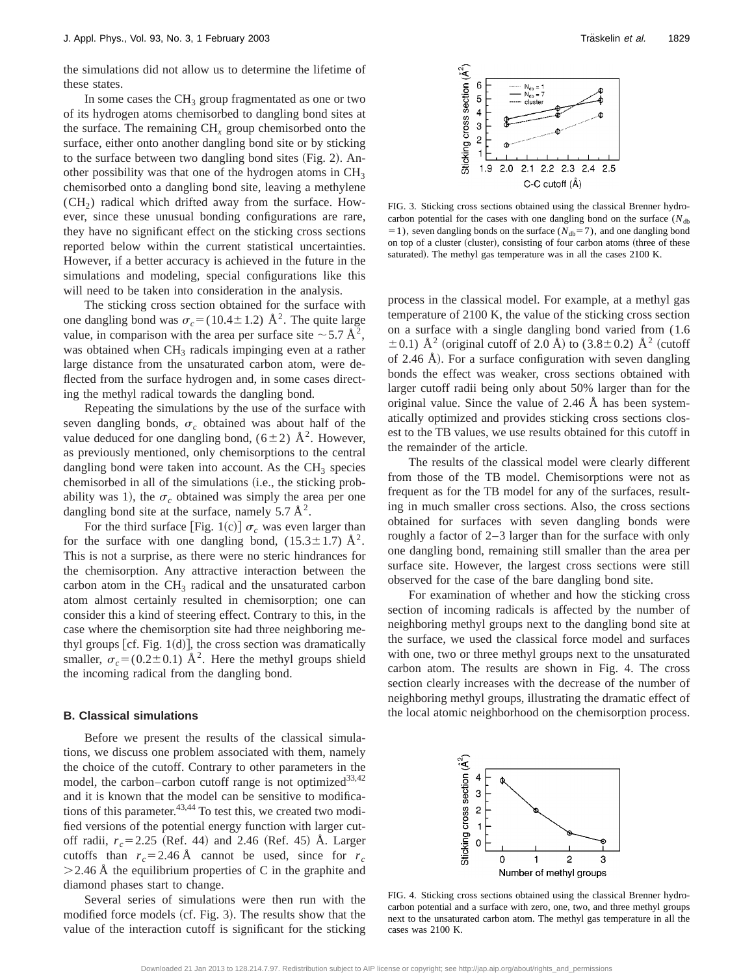the simulations did not allow us to determine the lifetime of these states.

In some cases the  $CH<sub>3</sub>$  group fragmentated as one or two of its hydrogen atoms chemisorbed to dangling bond sites at the surface. The remaining CH*<sup>x</sup>* group chemisorbed onto the surface, either onto another dangling bond site or by sticking to the surface between two dangling bond sites  $(Fig. 2)$ . Another possibility was that one of the hydrogen atoms in  $CH<sub>3</sub>$ chemisorbed onto a dangling bond site, leaving a methylene  $(CH<sub>2</sub>)$  radical which drifted away from the surface. However, since these unusual bonding configurations are rare, they have no significant effect on the sticking cross sections reported below within the current statistical uncertainties. However, if a better accuracy is achieved in the future in the simulations and modeling, special configurations like this will need to be taken into consideration in the analysis.

The sticking cross section obtained for the surface with one dangling bond was  $\sigma_c = (10.4 \pm 1.2)$  Å<sup>2</sup>. The quite large value, in comparison with the area per surface site  $\sim$  5.7 Å<sup>2</sup>, was obtained when  $CH<sub>3</sub>$  radicals impinging even at a rather large distance from the unsaturated carbon atom, were deflected from the surface hydrogen and, in some cases directing the methyl radical towards the dangling bond.

Repeating the simulations by the use of the surface with seven dangling bonds,  $\sigma_c$  obtained was about half of the value deduced for one dangling bond,  $(6\pm 2)$  Å<sup>2</sup>. However, as previously mentioned, only chemisorptions to the central dangling bond were taken into account. As the  $CH<sub>3</sub>$  species chemisorbed in all of the simulations (i.e., the sticking probability was 1), the  $\sigma_c$  obtained was simply the area per one dangling bond site at the surface, namely  $5.7 \text{ Å}^2$ .

For the third surface [Fig. 1(c)]  $\sigma_c$  was even larger than for the surface with one dangling bond,  $(15.3 \pm 1.7)$  Å<sup>2</sup>. This is not a surprise, as there were no steric hindrances for the chemisorption. Any attractive interaction between the carbon atom in the  $CH<sub>3</sub>$  radical and the unsaturated carbon atom almost certainly resulted in chemisorption; one can consider this a kind of steering effect. Contrary to this, in the case where the chemisorption site had three neighboring methyl groups  $[cf. Fig. 1(d)]$ , the cross section was dramatically smaller,  $\sigma_c = (0.2 \pm 0.1)$  Å<sup>2</sup>. Here the methyl groups shield the incoming radical from the dangling bond.

#### **B. Classical simulations**

Before we present the results of the classical simulations, we discuss one problem associated with them, namely the choice of the cutoff. Contrary to other parameters in the model, the carbon–carbon cutoff range is not optimized<sup>33,42</sup> and it is known that the model can be sensitive to modifications of this parameter. $43,44$  To test this, we created two modified versions of the potential energy function with larger cutoff radii,  $r_c = 2.25$  (Ref. 44) and 2.46 (Ref. 45) Å. Larger cutoffs than  $r_c = 2.46$  Å cannot be used, since for  $r_c$  $>$  2.46 Å the equilibrium properties of C in the graphite and diamond phases start to change.

Several series of simulations were then run with the modified force models (cf. Fig. 3). The results show that the value of the interaction cutoff is significant for the sticking



FIG. 3. Sticking cross sections obtained using the classical Brenner hydrocarbon potential for the cases with one dangling bond on the surface  $(N_{\text{db}})$  $=1$ ), seven dangling bonds on the surface ( $N_{db} = 7$ ), and one dangling bond on top of a cluster (cluster), consisting of four carbon atoms (three of these saturated). The methyl gas temperature was in all the cases 2100 K.

process in the classical model. For example, at a methyl gas temperature of 2100 K, the value of the sticking cross section on a surface with a single dangling bond varied from (1.6  $\pm$  0.1) Å<sup>2</sup> (original cutoff of 2.0 Å) to (3.8 $\pm$  0.2) Å<sup>2</sup> (cutoff of 2.46 Å). For a surface configuration with seven dangling bonds the effect was weaker, cross sections obtained with larger cutoff radii being only about 50% larger than for the original value. Since the value of 2.46 Å has been systematically optimized and provides sticking cross sections closest to the TB values, we use results obtained for this cutoff in the remainder of the article.

The results of the classical model were clearly different from those of the TB model. Chemisorptions were not as frequent as for the TB model for any of the surfaces, resulting in much smaller cross sections. Also, the cross sections obtained for surfaces with seven dangling bonds were roughly a factor of 2–3 larger than for the surface with only one dangling bond, remaining still smaller than the area per surface site. However, the largest cross sections were still observed for the case of the bare dangling bond site.

For examination of whether and how the sticking cross section of incoming radicals is affected by the number of neighboring methyl groups next to the dangling bond site at the surface, we used the classical force model and surfaces with one, two or three methyl groups next to the unsaturated carbon atom. The results are shown in Fig. 4. The cross section clearly increases with the decrease of the number of neighboring methyl groups, illustrating the dramatic effect of the local atomic neighborhood on the chemisorption process.



FIG. 4. Sticking cross sections obtained using the classical Brenner hydrocarbon potential and a surface with zero, one, two, and three methyl groups next to the unsaturated carbon atom. The methyl gas temperature in all the cases was 2100 K.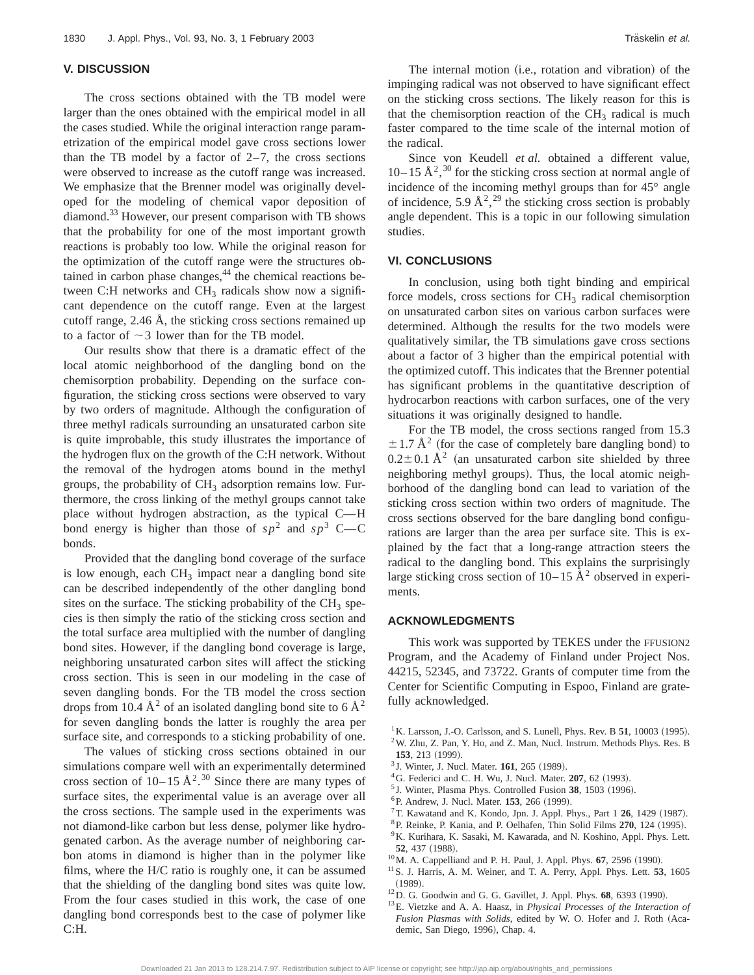#### **V. DISCUSSION**

The cross sections obtained with the TB model were larger than the ones obtained with the empirical model in all the cases studied. While the original interaction range parametrization of the empirical model gave cross sections lower than the TB model by a factor of  $2-7$ , the cross sections were observed to increase as the cutoff range was increased. We emphasize that the Brenner model was originally developed for the modeling of chemical vapor deposition of diamond.<sup>33</sup> However, our present comparison with TB shows that the probability for one of the most important growth reactions is probably too low. While the original reason for the optimization of the cutoff range were the structures obtained in carbon phase changes,<sup>44</sup> the chemical reactions between C:H networks and  $CH<sub>3</sub>$  radicals show now a significant dependence on the cutoff range. Even at the largest cutoff range, 2.46 Å, the sticking cross sections remained up to a factor of  $\sim$ 3 lower than for the TB model.

Our results show that there is a dramatic effect of the local atomic neighborhood of the dangling bond on the chemisorption probability. Depending on the surface configuration, the sticking cross sections were observed to vary by two orders of magnitude. Although the configuration of three methyl radicals surrounding an unsaturated carbon site is quite improbable, this study illustrates the importance of the hydrogen flux on the growth of the C:H network. Without the removal of the hydrogen atoms bound in the methyl groups, the probability of  $CH<sub>3</sub>$  adsorption remains low. Furthermore, the cross linking of the methyl groups cannot take place without hydrogen abstraction, as the typical C-H bond energy is higher than those of  $sp^2$  and  $sp^3$  C—C bonds.

Provided that the dangling bond coverage of the surface is low enough, each  $CH<sub>3</sub>$  impact near a dangling bond site can be described independently of the other dangling bond sites on the surface. The sticking probability of the  $CH<sub>3</sub>$  species is then simply the ratio of the sticking cross section and the total surface area multiplied with the number of dangling bond sites. However, if the dangling bond coverage is large, neighboring unsaturated carbon sites will affect the sticking cross section. This is seen in our modeling in the case of seven dangling bonds. For the TB model the cross section drops from 10.4  $\AA^2$  of an isolated dangling bond site to 6  $\AA^2$ for seven dangling bonds the latter is roughly the area per surface site, and corresponds to a sticking probability of one.

The values of sticking cross sections obtained in our simulations compare well with an experimentally determined cross section of  $10-15 \text{ Å}^2$ .<sup>30</sup> Since there are many types of surface sites, the experimental value is an average over all the cross sections. The sample used in the experiments was not diamond-like carbon but less dense, polymer like hydrogenated carbon. As the average number of neighboring carbon atoms in diamond is higher than in the polymer like films, where the H/C ratio is roughly one, it can be assumed that the shielding of the dangling bond sites was quite low. From the four cases studied in this work, the case of one dangling bond corresponds best to the case of polymer like C:H.

The internal motion (i.e., rotation and vibration) of the impinging radical was not observed to have significant effect on the sticking cross sections. The likely reason for this is that the chemisorption reaction of the  $CH<sub>3</sub>$  radical is much faster compared to the time scale of the internal motion of the radical.

Since von Keudell *et al.* obtained a different value,  $10-15 \text{ Å}^2$ , <sup>30</sup> for the sticking cross section at normal angle of incidence of the incoming methyl groups than for 45° angle of incidence, 5.9  $\AA^2$ , <sup>29</sup> the sticking cross section is probably angle dependent. This is a topic in our following simulation studies.

#### **VI. CONCLUSIONS**

In conclusion, using both tight binding and empirical force models, cross sections for  $CH<sub>3</sub>$  radical chemisorption on unsaturated carbon sites on various carbon surfaces were determined. Although the results for the two models were qualitatively similar, the TB simulations gave cross sections about a factor of 3 higher than the empirical potential with the optimized cutoff. This indicates that the Brenner potential has significant problems in the quantitative description of hydrocarbon reactions with carbon surfaces, one of the very situations it was originally designed to handle.

For the TB model, the cross sections ranged from 15.3  $\pm$  1.7 Å<sup>2</sup> (for the case of completely bare dangling bond) to  $0.2 \pm 0.1$  Å<sup>2</sup> (an unsaturated carbon site shielded by three neighboring methyl groups). Thus, the local atomic neighborhood of the dangling bond can lead to variation of the sticking cross section within two orders of magnitude. The cross sections observed for the bare dangling bond configurations are larger than the area per surface site. This is explained by the fact that a long-range attraction steers the radical to the dangling bond. This explains the surprisingly large sticking cross section of  $10-15 \text{ Å}^2$  observed in experiments.

#### **ACKNOWLEDGMENTS**

This work was supported by TEKES under the FFUSION2 Program, and the Academy of Finland under Project Nos. 44215, 52345, and 73722. Grants of computer time from the Center for Scientific Computing in Espoo, Finland are gratefully acknowledged.

- $1$ K. Larsson, J.-O. Carlsson, and S. Lunell, Phys. Rev. B 51, 10003 (1995).
- $^{2}$  W. Zhu, Z. Pan, Y. Ho, and Z. Man, Nucl. Instrum. Methods Phys. Res. B 153, 213 (1999).
- <sup>3</sup> J. Winter, J. Nucl. Mater. **161**, 265 (1989).
- <sup>4</sup>G. Federici and C. H. Wu, J. Nucl. Mater. **207**, 62 (1993).
- <sup>5</sup> J. Winter, Plasma Phys. Controlled Fusion 38, 1503 (1996).
- <sup>6</sup> P. Andrew, J. Nucl. Mater. **153**, 266 (1999).
- $7$ T. Kawatand and K. Kondo, Jpn. J. Appl. Phys., Part 1  $26$ , 1429 (1987).
- <sup>8</sup>P. Reinke, P. Kania, and P. Oelhafen, Thin Solid Films 270, 124 (1995).
- 9K. Kurihara, K. Sasaki, M. Kawarada, and N. Koshino, Appl. Phys. Lett. 52, 437 (1988).
- <sup>10</sup> M. A. Cappelliand and P. H. Paul, J. Appl. Phys. **67**, 2596 (1990).
- 11S. J. Harris, A. M. Weiner, and T. A. Perry, Appl. Phys. Lett. **53**, 1605  $(1989).$
- <sup>12</sup>D. G. Goodwin and G. G. Gavillet, J. Appl. Phys. **68**, 6393 (1990).
- 13E. Vietzke and A. A. Haasz, in *Physical Processes of the Interaction of Fusion Plasmas with Solids*, edited by W. O. Hofer and J. Roth (Academic, San Diego, 1996), Chap. 4.